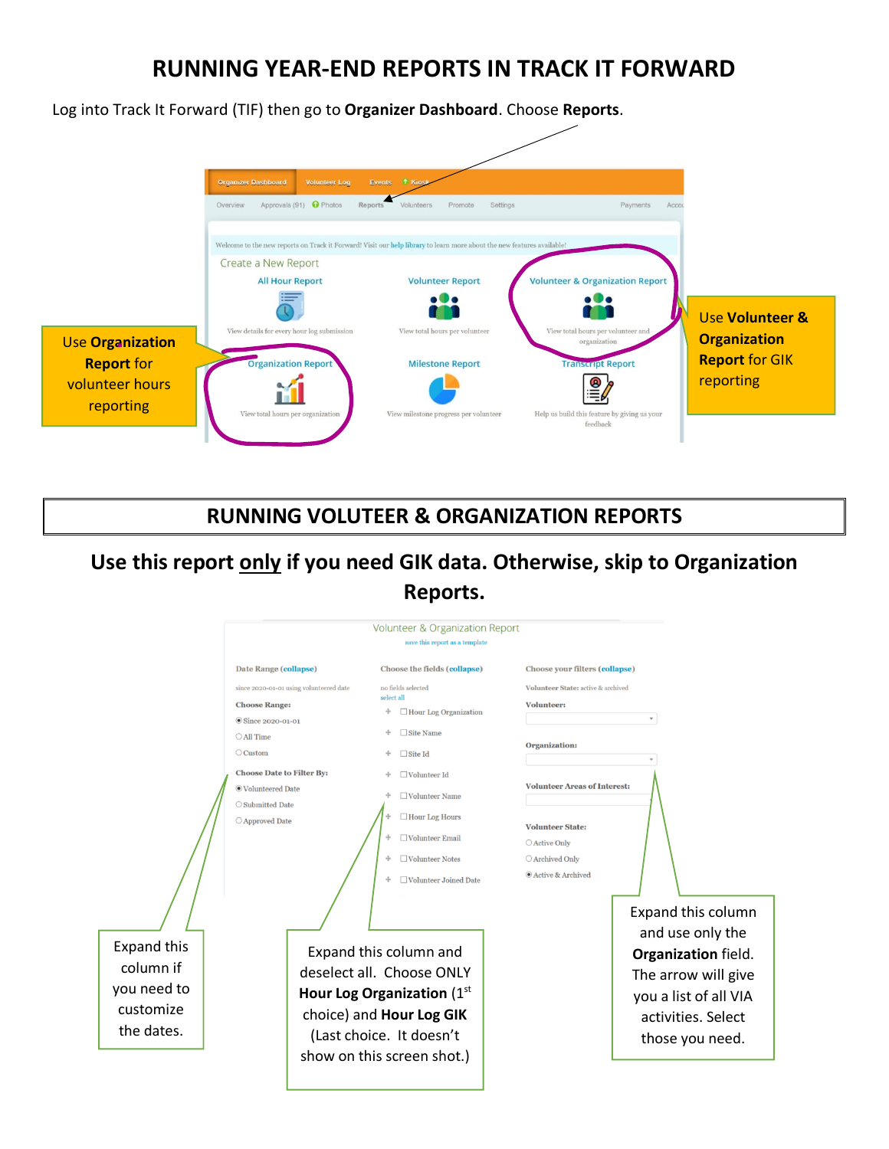## **RUNNING YEAR-END REPORTS IN TRACK IT FORWARD**

Log into Track It Forward (TIF) then go to **Organizer Dashboard**. Choose **Reports**.



#### **RUNNING VOLUTEER & ORGANIZATION REPORTS**

# **Use this report only if you need GIK data. Otherwise, skip to Organization Reports.**